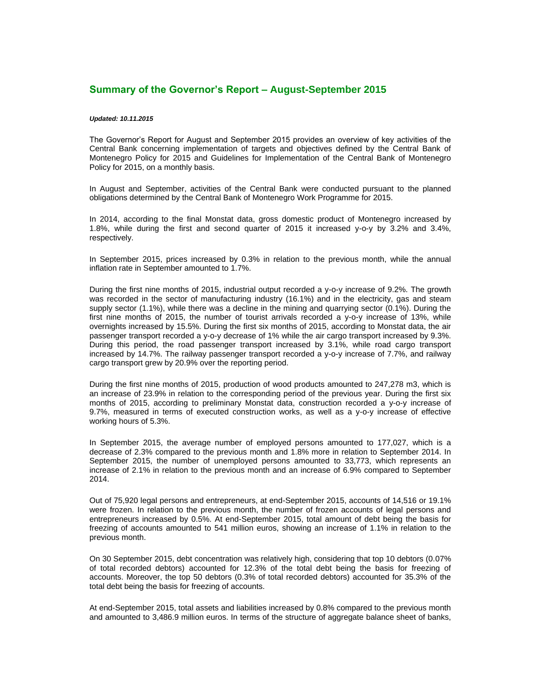## **Summary of the Governor's Report – August-September 2015**

## *Updated: 10.11.2015*

The Governor's Report for August and September 2015 provides an overview of key activities of the Central Bank concerning implementation of targets and objectives defined by the Central Bank of Montenegro Policy for 2015 and Guidelines for Implementation of the Central Bank of Montenegro Policy for 2015, on a monthly basis.

In August and September, activities of the Central Bank were conducted pursuant to the planned obligations determined by the Central Bank of Montenegro Work Programme for 2015.

In 2014, according to the final Monstat data, gross domestic product of Montenegro increased by 1.8%, while during the first and second quarter of 2015 it increased y-o-y by 3.2% and 3.4%, respectively.

In September 2015, prices increased by 0.3% in relation to the previous month, while the annual inflation rate in September amounted to 1.7%.

During the first nine months of 2015, industrial output recorded a y-o-y increase of 9.2%. The growth was recorded in the sector of manufacturing industry (16.1%) and in the electricity, gas and steam supply sector (1.1%), while there was a decline in the mining and quarrying sector (0.1%). During the first nine months of 2015, the number of tourist arrivals recorded a y-o-y increase of 13%, while overnights increased by 15.5%. During the first six months of 2015, according to Monstat data, the air passenger transport recorded a y-o-y decrease of 1% while the air cargo transport increased by 9.3%. During this period, the road passenger transport increased by 3.1%, while road cargo transport increased by 14.7%. The railway passenger transport recorded a y-o-y increase of 7.7%, and railway cargo transport grew by 20.9% over the reporting period.

During the first nine months of 2015, production of wood products amounted to 247,278 m3, which is an increase of 23.9% in relation to the corresponding period of the previous year. During the first six months of 2015, according to preliminary Monstat data, construction recorded a y-o-y increase of 9.7%, measured in terms of executed construction works, as well as a y-o-y increase of effective working hours of 5.3%.

In September 2015, the average number of employed persons amounted to 177,027, which is a decrease of 2.3% compared to the previous month and 1.8% more in relation to September 2014. In September 2015, the number of unemployed persons amounted to 33,773, which represents an increase of 2.1% in relation to the previous month and an increase of 6.9% compared to September 2014.

Out of 75,920 legal persons and entrepreneurs, at end-September 2015, accounts of 14,516 or 19.1% were frozen. In relation to the previous month, the number of frozen accounts of legal persons and entrepreneurs increased by 0.5%. At end-September 2015, total amount of debt being the basis for freezing of accounts amounted to 541 million euros, showing an increase of 1.1% in relation to the previous month.

On 30 September 2015, debt concentration was relatively high, considering that top 10 debtors (0.07% of total recorded debtors) accounted for 12.3% of the total debt being the basis for freezing of accounts. Moreover, the top 50 debtors (0.3% of total recorded debtors) accounted for 35.3% of the total debt being the basis for freezing of accounts.

At end-September 2015, total assets and liabilities increased by 0.8% compared to the previous month and amounted to 3,486.9 million euros. In terms of the structure of aggregate balance sheet of banks,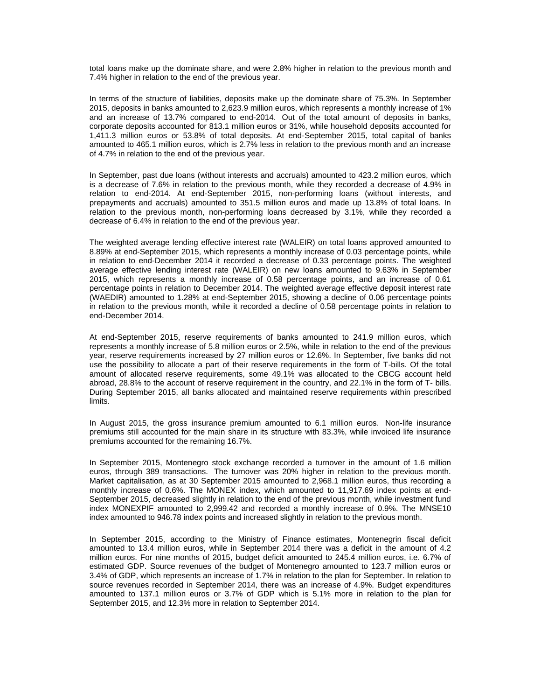total loans make up the dominate share, and were 2.8% higher in relation to the previous month and 7.4% higher in relation to the end of the previous year.

In terms of the structure of liabilities, deposits make up the dominate share of 75.3%. In September 2015, deposits in banks amounted to 2,623.9 million euros, which represents a monthly increase of 1% and an increase of 13.7% compared to end-2014. Out of the total amount of deposits in banks, corporate deposits accounted for 813.1 million euros or 31%, while household deposits accounted for 1,411.3 million euros or 53.8% of total deposits. At end-September 2015, total capital of banks amounted to 465.1 million euros, which is 2.7% less in relation to the previous month and an increase of 4.7% in relation to the end of the previous year.

In September, past due loans (without interests and accruals) amounted to 423.2 million euros, which is a decrease of 7.6% in relation to the previous month, while they recorded a decrease of 4.9% in relation to end-2014. At end-September 2015, non-performing loans (without interests, and prepayments and accruals) amounted to 351.5 million euros and made up 13.8% of total loans. In relation to the previous month, non-performing loans decreased by 3.1%, while they recorded a decrease of 6.4% in relation to the end of the previous year.

The weighted average lending effective interest rate (WALEIR) on total loans approved amounted to 8.89% at end-September 2015, which represents a monthly increase of 0.03 percentage points, while in relation to end-December 2014 it recorded a decrease of 0.33 percentage points. The weighted average effective lending interest rate (WALEIR) on new loans amounted to 9.63% in September 2015, which represents a monthly increase of 0.58 percentage points, and an increase of 0.61 percentage points in relation to December 2014. The weighted average effective deposit interest rate (WAEDIR) amounted to 1.28% at end-September 2015, showing a decline of 0.06 percentage points in relation to the previous month, while it recorded a decline of 0.58 percentage points in relation to end-December 2014.

At end-September 2015, reserve requirements of banks amounted to 241.9 million euros, which represents a monthly increase of 5.8 million euros or 2.5%, while in relation to the end of the previous year, reserve requirements increased by 27 million euros or 12.6%. In September, five banks did not use the possibility to allocate a part of their reserve requirements in the form of T-bills. Of the total amount of allocated reserve requirements, some 49.1% was allocated to the CBCG account held abroad, 28.8% to the account of reserve requirement in the country, and 22.1% in the form of T- bills. During September 2015, all banks allocated and maintained reserve requirements within prescribed limits.

In August 2015, the gross insurance premium amounted to 6.1 million euros. Non-life insurance premiums still accounted for the main share in its structure with 83.3%, while invoiced life insurance premiums accounted for the remaining 16.7%.

In September 2015, Montenegro stock exchange recorded a turnover in the amount of 1.6 million euros, through 389 transactions. The turnover was 20% higher in relation to the previous month. Market capitalisation, as at 30 September 2015 amounted to 2,968.1 million euros, thus recording a monthly increase of 0.6%. The MONEX index, which amounted to 11,917.69 index points at end-September 2015, decreased slightly in relation to the end of the previous month, while investment fund index MONEXPIF amounted to 2,999.42 and recorded a monthly increase of 0.9%. The MNSE10 index amounted to 946.78 index points and increased slightly in relation to the previous month.

In September 2015, according to the Ministry of Finance estimates, Montenegrin fiscal deficit amounted to 13.4 million euros, while in September 2014 there was a deficit in the amount of 4.2 million euros. For nine months of 2015, budget deficit amounted to 245.4 million euros, i.e. 6.7% of estimated GDP. Source revenues of the budget of Montenegro amounted to 123.7 million euros or 3.4% of GDP, which represents an increase of 1.7% in relation to the plan for September. In relation to source revenues recorded in September 2014, there was an increase of 4.9%. Budget expenditures amounted to 137.1 million euros or 3.7% of GDP which is 5.1% more in relation to the plan for September 2015, and 12.3% more in relation to September 2014.